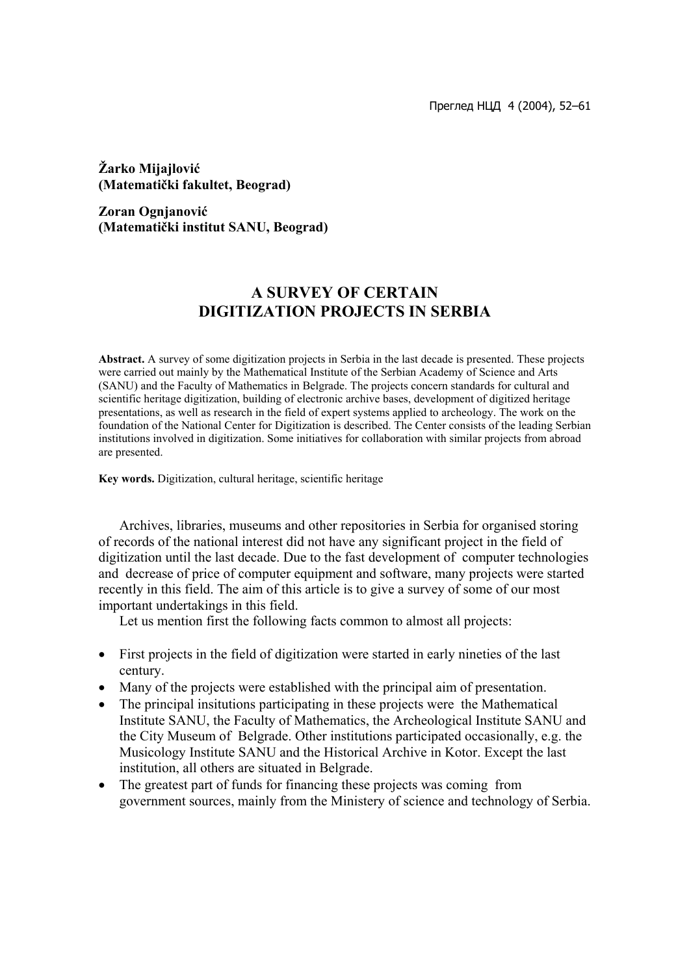Преглед НЦД 4 (2004), 52–61

**Žarko Mijajlović (Matematički fakultet, Beograd)** 

**Zoran Ognjanović (Matematički institut SANU, Beograd)** 

# **A SURVEY OF CERTAIN DIGITIZATION PROJECTS IN SERBIA**

**Abstract.** A survey of some digitization projects in Serbia in the last decade is presented. These projects were carried out mainly by the Mathematical Institute of the Serbian Academy of Science and Arts (SANU) and the Faculty of Mathematics in Belgrade. The projects concern standards for cultural and scientific heritage digitization, building of electronic archive bases, development of digitized heritage presentations, as well as research in the field of expert systems applied to archeology. The work on the foundation of the National Center for Digitization is described. The Center consists of the leading Serbian institutions involved in digitization. Some initiatives for collaboration with similar projects from abroad are presented.

**Key words.** Digitization, cultural heritage, scientific heritage

Archives, libraries, museums and other repositories in Serbia for organised storing of records of the national interest did not have any significant project in the field of digitization until the last decade. Due to the fast development of computer technologies and decrease of price of computer equipment and software, many projects were started recently in this field. The aim of this article is to give a survey of some of our most important undertakings in this field.

Let us mention first the following facts common to almost all projects:

- First projects in the field of digitization were started in early nineties of the last century.
- Many of the projects were established with the principal aim of presentation.
- The principal insitutions participating in these projects were the Mathematical Institute SANU, the Faculty of Mathematics, the Archeological Institute SANU and the City Museum of Belgrade. Other institutions participated occasionally, e.g. the Musicology Institute SANU and the Historical Archive in Kotor. Except the last institution, all others are situated in Belgrade.
- The greatest part of funds for financing these projects was coming from government sources, mainly from the Ministery of science and technology of Serbia.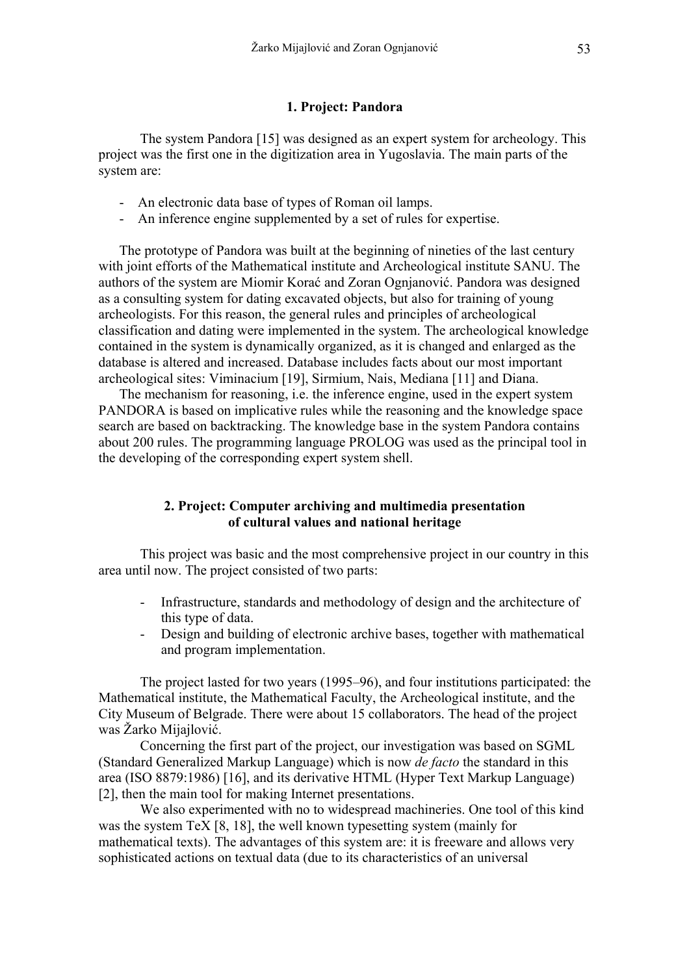#### **1. Project: Pandora**

The system Pandora [15] was designed as an expert system for archeology. This project was the first one in the digitization area in Yugoslavia. The main parts of the system are:

- An electronic data base of types of Roman oil lamps.
- An inference engine supplemented by a set of rules for expertise.

The prototype of Pandora was built at the beginning of nineties of the last century with joint efforts of the Mathematical institute and Archeological institute SANU. The authors of the system are Miomir Korać and Zoran Ognjanović. Pandora was designed as a consulting system for dating excavated objects, but also for training of young archeologists. For this reason, the general rules and principles of archeological classification and dating were implemented in the system. The archeological knowledge contained in the system is dynamically organized, as it is changed and enlarged as the database is altered and increased. Database includes facts about our most important archeological sites: Viminacium [19], Sirmium, Nais, Mediana [11] and Diana.

The mechanism for reasoning, i.e. the inference engine, used in the expert system PANDORA is based on implicative rules while the reasoning and the knowledge space search are based on backtracking. The knowledge base in the system Pandora contains about 200 rules. The programming language PROLOG was used as the principal tool in the developing of the corresponding expert system shell.

## **2. Project: Computer archiving and multimedia presentation of cultural values and national heritage**

This project was basic and the most comprehensive project in our country in this area until now. The project consisted of two parts:

- Infrastructure, standards and methodology of design and the architecture of this type of data.
- Design and building of electronic archive bases, together with mathematical and program implementation.

The project lasted for two years (1995–96), and four institutions participated: the Mathematical institute, the Mathematical Faculty, the Archeological institute, and the City Museum of Belgrade. There were about 15 collaborators. The head of the project was Žarko Mijajlović.

Concerning the first part of the project, our investigation was based on SGML (Standard Generalized Markup Language) which is now *de facto* the standard in this area (ISO 8879:1986) [16], and its derivative HTML (Hyper Text Markup Language) [2], then the main tool for making Internet presentations.

We also experimented with no to widespread machineries. One tool of this kind was the system TeX [8, 18], the well known typesetting system (mainly for mathematical texts). The advantages of this system are: it is freeware and allows very sophisticated actions on textual data (due to its characteristics of an universal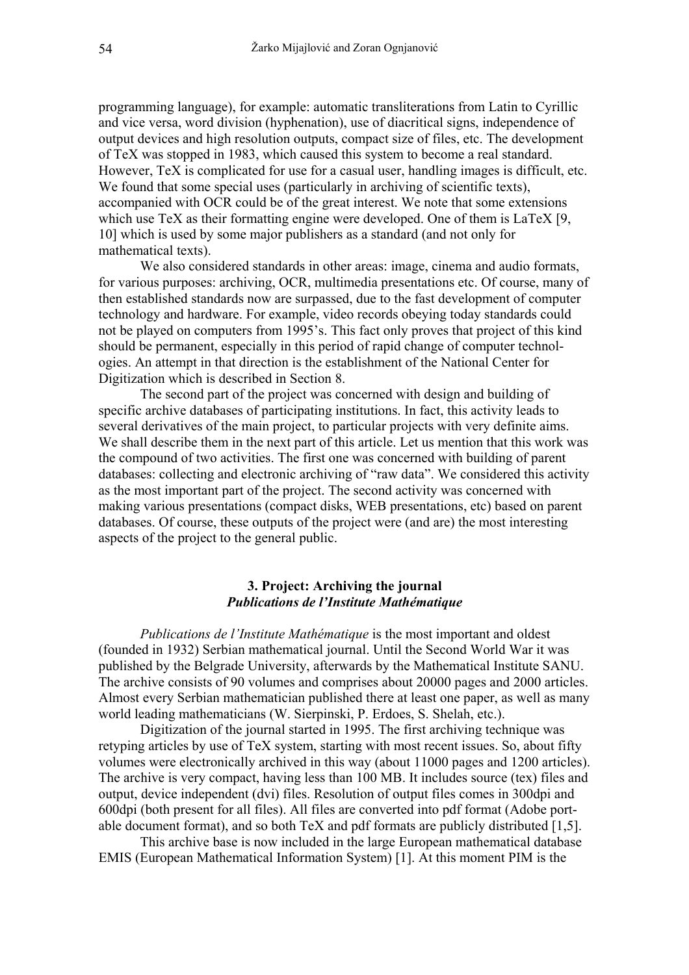programming language), for example: automatic transliterations from Latin to Cyrillic and vice versa, word division (hyphenation), use of diacritical signs, independence of output devices and high resolution outputs, compact size of files, etc. The development of TeX was stopped in 1983, which caused this system to become a real standard. However, TeX is complicated for use for a casual user, handling images is difficult, etc. We found that some special uses (particularly in archiving of scientific texts), accompanied with OCR could be of the great interest. We note that some extensions which use TeX as their formatting engine were developed. One of them is LaTeX [9, 10] which is used by some major publishers as a standard (and not only for mathematical texts).

We also considered standards in other areas: image, cinema and audio formats, for various purposes: archiving, OCR, multimedia presentations etc. Of course, many of then established standards now are surpassed, due to the fast development of computer technology and hardware. For example, video records obeying today standards could not be played on computers from 1995's. This fact only proves that project of this kind should be permanent, especially in this period of rapid change of computer technologies. An attempt in that direction is the establishment of the National Center for Digitization which is described in Section 8.

The second part of the project was concerned with design and building of specific archive databases of participating institutions. In fact, this activity leads to several derivatives of the main project, to particular projects with very definite aims. We shall describe them in the next part of this article. Let us mention that this work was the compound of two activities. The first one was concerned with building of parent databases: collecting and electronic archiving of "raw data". We considered this activity as the most important part of the project. The second activity was concerned with making various presentations (compact disks, WEB presentations, etc) based on parent databases. Of course, these outputs of the project were (and are) the most interesting aspects of the project to the general public.

## **3. Project: Archiving the journal**  *Publications de l'Institute Mathématique*

*Publications de l'Institute Mathématique* is the most important and oldest (founded in 1932) Serbian mathematical journal. Until the Second World War it was published by the Belgrade University, afterwards by the Mathematical Institute SANU. The archive consists of 90 volumes and comprises about 20000 pages and 2000 articles. Almost every Serbian mathematician published there at least one paper, as well as many world leading mathematicians (W. Sierpinski, P. Erdoes, S. Shelah, etc.).

Digitization of the journal started in 1995. The first archiving technique was retyping articles by use of TeX system, starting with most recent issues. So, about fifty volumes were electronically archived in this way (about 11000 pages and 1200 articles). The archive is very compact, having less than 100 MB. It includes source (tex) files and output, device independent (dvi) files. Resolution of output files comes in 300dpi and 600dpi (both present for all files). All files are converted into pdf format (Adobe portable document format), and so both TeX and pdf formats are publicly distributed [1,5].

This archive base is now included in the large European mathematical database EMIS (European Mathematical Information System) [1]. At this moment PIM is the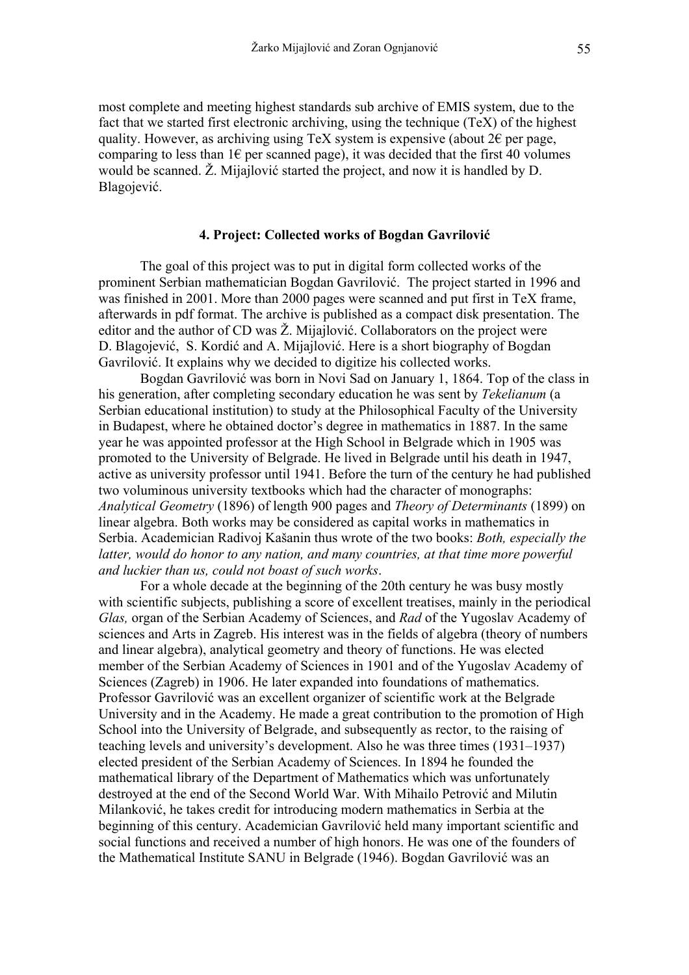most complete and meeting highest standards sub archive of EMIS system, due to the fact that we started first electronic archiving, using the technique (TeX) of the highest quality. However, as archiving using TeX system is expensive (about  $2\epsilon$  per page, comparing to less than  $1 \in$  per scanned page), it was decided that the first 40 volumes would be scanned. Ž. Mijajlović started the project, and now it is handled by D. Blagojević.

## **4. Project: Collected works of Bogdan Gavrilović**

The goal of this project was to put in digital form collected works of the prominent Serbian mathematician Bogdan Gavrilović. The project started in 1996 and was finished in 2001. More than 2000 pages were scanned and put first in TeX frame, afterwards in pdf format. The archive is published as a compact disk presentation. The editor and the author of CD was Ž. Mijajlović. Collaborators on the project were D. Blagojević, S. Kordić and A. Mijajlović. Here is a short biography of Bogdan Gavrilović. It explains why we decided to digitize his collected works.

Bogdan Gavrilović was born in Novi Sad on January 1, 1864. Top of the class in his generation, after completing secondary education he was sent by *Tekelianum* (a Serbian educational institution) to study at the Philosophical Faculty of the University in Budapest, where he obtained doctor's degree in mathematics in 1887. In the same year he was appointed professor at the High School in Belgrade which in 1905 was promoted to the University of Belgrade. He lived in Belgrade until his death in 1947, active as university professor until 1941. Before the turn of the century he had published two voluminous university textbooks which had the character of monographs: *Analytical Geometry* (1896) of length 900 pages and *Theory of Determinants* (1899) on linear algebra. Both works may be considered as capital works in mathematics in Serbia. Academician Radivoj Kašanin thus wrote of the two books: *Both, especially the latter, would do honor to any nation, and many countries, at that time more powerful and luckier than us, could not boast of such works*.

For a whole decade at the beginning of the 20th century he was busy mostly with scientific subjects, publishing a score of excellent treatises, mainly in the periodical *Glas,* organ of the Serbian Academy of Sciences, and *Rad* of the Yugoslav Academy of sciences and Arts in Zagreb. His interest was in the fields of algebra (theory of numbers and linear algebra), analytical geometry and theory of functions. He was elected member of the Serbian Academy of Sciences in 1901 and of the Yugoslav Academy of Sciences (Zagreb) in 1906. He later expanded into foundations of mathematics. Professor Gavrilović was an excellent organizer of scientific work at the Belgrade University and in the Academy. He made a great contribution to the promotion of High School into the University of Belgrade, and subsequently as rector, to the raising of teaching levels and university's development. Also he was three times (1931–1937) elected president of the Serbian Academy of Sciences. In 1894 he founded the mathematical library of the Department of Mathematics which was unfortunately destroyed at the end of the Second World War. With Mihailo Petrović and Milutin Milanković, he takes credit for introducing modern mathematics in Serbia at the beginning of this century. Academician Gavrilović held many important scientific and social functions and received a number of high honors. He was one of the founders of the Mathematical Institute SANU in Belgrade (1946). Bogdan Gavrilović was an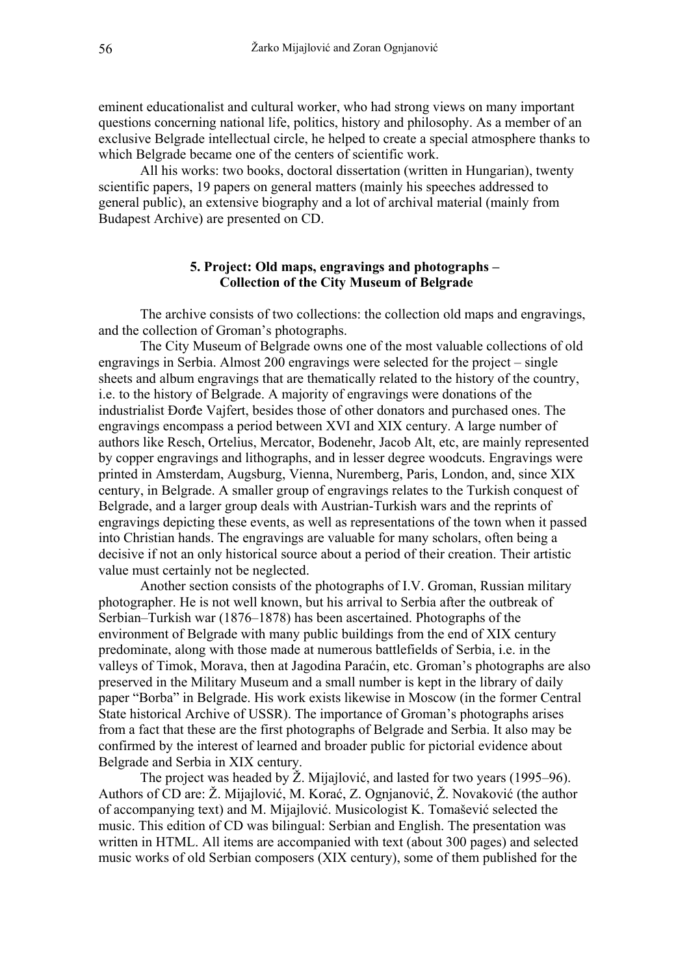eminent educationalist and cultural worker, who had strong views on many important questions concerning national life, politics, history and philosophy. As a member of an exclusive Belgrade intellectual circle, he helped to create a special atmosphere thanks to which Belgrade became one of the centers of scientific work.

All his works: two books, doctoral dissertation (written in Hungarian), twenty scientific papers, 19 papers on general matters (mainly his speeches addressed to general public), an extensive biography and a lot of archival material (mainly from Budapest Archive) are presented on CD.

### **5. Project: Old maps, engravings and photographs – Collection of the City Museum of Belgrade**

The archive consists of two collections: the collection old maps and engravings, and the collection of Groman's photographs.

The City Museum of Belgrade owns one of the most valuable collections of old engravings in Serbia. Almost 200 engravings were selected for the project – single sheets and album engravings that are thematically related to the history of the country, i.e. to the history of Belgrade. A majority of engravings were donations of the industrialist Đorđe Vajfert, besides those of other donators and purchased ones. The engravings encompass a period between XVI and XIX century. A large number of authors like Resch, Ortelius, Mercator, Bodenehr, Jacob Alt, etc, are mainly represented by copper engravings and lithographs, and in lesser degree woodcuts. Engravings were printed in Amsterdam, Augsburg, Vienna, Nuremberg, Paris, London, and, since XIX century, in Belgrade. A smaller group of engravings relates to the Turkish conquest of Belgrade, and a larger group deals with Austrian-Turkish wars and the reprints of engravings depicting these events, as well as representations of the town when it passed into Christian hands. The engravings are valuable for many scholars, often being a decisive if not an only historical source about a period of their creation. Their artistic value must certainly not be neglected.

Another section consists of the photographs of I.V. Groman, Russian military photographer. He is not well known, but his arrival to Serbia after the outbreak of Serbian–Turkish war (1876–1878) has been ascertained. Photographs of the environment of Belgrade with many public buildings from the end of XIX century predominate, along with those made at numerous battlefields of Serbia, i.e. in the valleys of Timok, Morava, then at Jagodina Paraćin, etc. Groman's photographs are also preserved in the Military Museum and a small number is kept in the library of daily paper "Borba" in Belgrade. His work exists likewise in Moscow (in the former Central State historical Archive of USSR). The importance of Groman's photographs arises from a fact that these are the first photographs of Belgrade and Serbia. It also may be confirmed by the interest of learned and broader public for pictorial evidence about Belgrade and Serbia in XIX century.

The project was headed by Ž. Mijajlović, and lasted for two years (1995–96). Authors of CD are: Ž. Mijajlović, M. Korać, Z. Ognjanović, Ž. Novaković (the author of accompanying text) and M. Mijajlović. Musicologist K. Tomašević selected the music. This edition of CD was bilingual: Serbian and English. The presentation was written in HTML. All items are accompanied with text (about 300 pages) and selected music works of old Serbian composers (XIX century), some of them published for the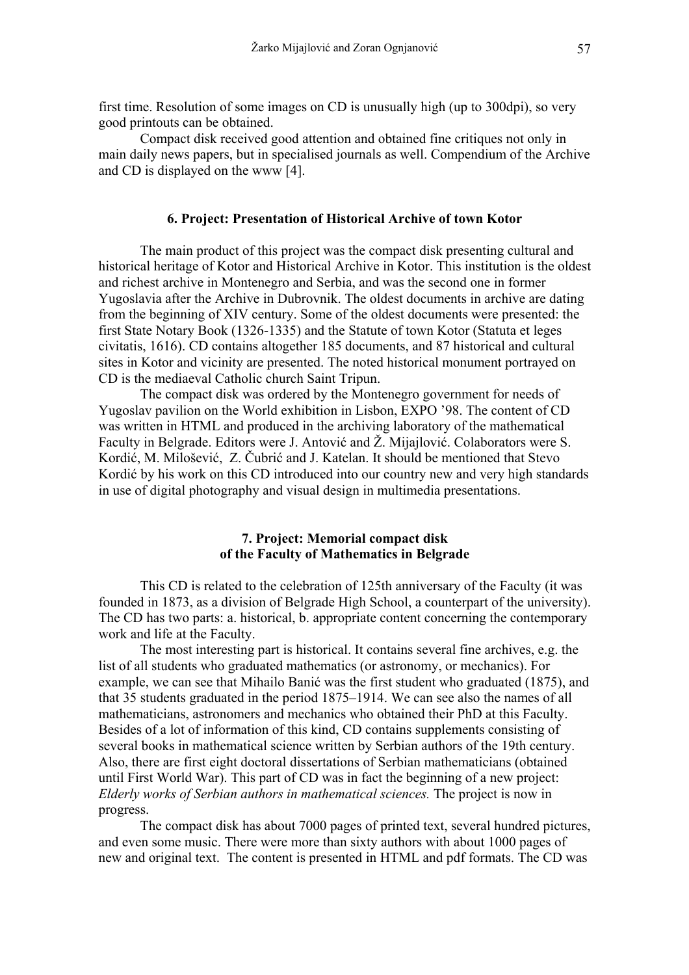first time. Resolution of some images on CD is unusually high (up to 300dpi), so very good printouts can be obtained.

Compact disk received good attention and obtained fine critiques not only in main daily news papers, but in specialised journals as well. Compendium of the Archive and CD is displayed on the www [4].

#### **6. Project: Presentation of Historical Archive of town Kotor**

The main product of this project was the compact disk presenting cultural and historical heritage of Kotor and Historical Archive in Kotor. This institution is the oldest and richest archive in Montenegro and Serbia, and was the second one in former Yugoslavia after the Archive in Dubrovnik. The oldest documents in archive are dating from the beginning of XIV century. Some of the oldest documents were presented: the first State Notary Book (1326-1335) and the Statute of town Kotor (Statuta et leges civitatis, 1616). CD contains altogether 185 documents, and 87 historical and cultural sites in Kotor and vicinity are presented. The noted historical monument portrayed on CD is the mediaeval Catholic church Saint Tripun.

The compact disk was ordered by the Montenegro government for needs of Yugoslav pavilion on the World exhibition in Lisbon, EXPO '98. The content of CD was written in HTML and produced in the archiving laboratory of the mathematical Faculty in Belgrade. Editors were J. Antović and Ž. Mijajlović. Colaborators were S. Kordić, M. Milošević, Z. Čubrić and J. Katelan. It should be mentioned that Stevo Kordić by his work on this CD introduced into our country new and very high standards in use of digital photography and visual design in multimedia presentations.

## **7. Project: Memorial compact disk of the Faculty of Mathematics in Belgrade**

This CD is related to the celebration of 125th anniversary of the Faculty (it was founded in 1873, as a division of Belgrade High School, a counterpart of the university). The CD has two parts: a. historical, b. appropriate content concerning the contemporary work and life at the Faculty.

The most interesting part is historical. It contains several fine archives, e.g. the list of all students who graduated mathematics (or astronomy, or mechanics). For example, we can see that Mihailo Banić was the first student who graduated (1875), and that 35 students graduated in the period 1875–1914. We can see also the names of all mathematicians, astronomers and mechanics who obtained their PhD at this Faculty. Besides of a lot of information of this kind, CD contains supplements consisting of several books in mathematical science written by Serbian authors of the 19th century. Also, there are first eight doctoral dissertations of Serbian mathematicians (obtained until First World War). This part of CD was in fact the beginning of a new project: *Elderly works of Serbian authors in mathematical sciences.* The project is now in progress.

The compact disk has about 7000 pages of printed text, several hundred pictures, and even some music. There were more than sixty authors with about 1000 pages of new and original text. The content is presented in HTML and pdf formats. The CD was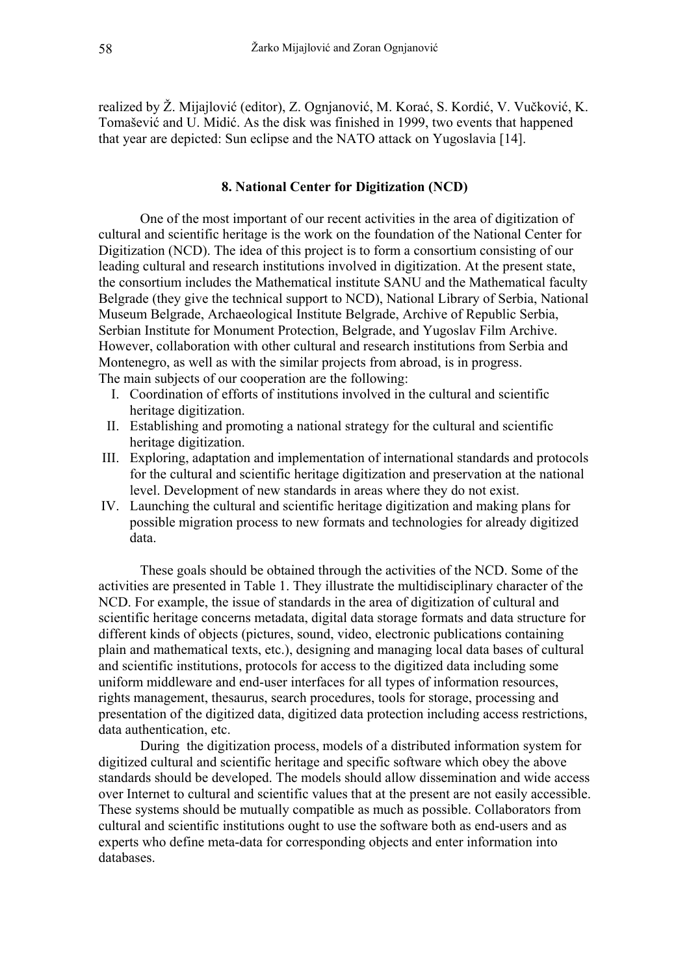realized by Ž. Mijajlović (editor), Z. Ognjanović, M. Korać, S. Kordić, V. Vučković, K. Tomašević and U. Midić. As the disk was finished in 1999, two events that happened that year are depicted: Sun eclipse and the NATO attack on Yugoslavia [14].

## **8. National Center for Digitization (NCD)**

One of the most important of our recent activities in the area of digitization of cultural and scientific heritage is the work on the foundation of the National Center for Digitization (NCD). The idea of this project is to form a consortium consisting of our leading cultural and research institutions involved in digitization. At the present state, the consortium includes the Mathematical institute SANU and the Mathematical faculty Belgrade (they give the technical support to NCD), National Library of Serbia, National Museum Belgrade, Archaeological Institute Belgrade, Archive of Republic Serbia, Serbian Institute for Monument Protection, Belgrade, and Yugoslav Film Archive. However, collaboration with other cultural and research institutions from Serbia and Montenegro, as well as with the similar projects from abroad, is in progress. The main subjects of our cooperation are the following:

- I. Coordination of efforts of institutions involved in the cultural and scientific heritage digitization.
- II. Establishing and promoting a national strategy for the cultural and scientific heritage digitization.
- III. Exploring, adaptation and implementation of international standards and protocols for the cultural and scientific heritage digitization and preservation at the national level. Development of new standards in areas where they do not exist.
- IV. Launching the cultural and scientific heritage digitization and making plans for possible migration process to new formats and technologies for already digitized data.

These goals should be obtained through the activities of the NCD. Some of the activities are presented in Table 1. They illustrate the multidisciplinary character of the NCD. For example, the issue of standards in the area of digitization of cultural and scientific heritage concerns metadata, digital data storage formats and data structure for different kinds of objects (pictures, sound, video, electronic publications containing plain and mathematical texts, etc.), designing and managing local data bases of cultural and scientific institutions, protocols for access to the digitized data including some uniform middleware and end-user interfaces for all types of information resources, rights management, thesaurus, search procedures, tools for storage, processing and presentation of the digitized data, digitized data protection including access restrictions, data authentication, etc.

During the digitization process, models of a distributed information system for digitized cultural and scientific heritage and specific software which obey the above standards should be developed. The models should allow dissemination and wide access over Internet to cultural and scientific values that at the present are not easily accessible. These systems should be mutually compatible as much as possible. Collaborators from cultural and scientific institutions ought to use the software both as end-users and as experts who define meta-data for corresponding objects and enter information into databases.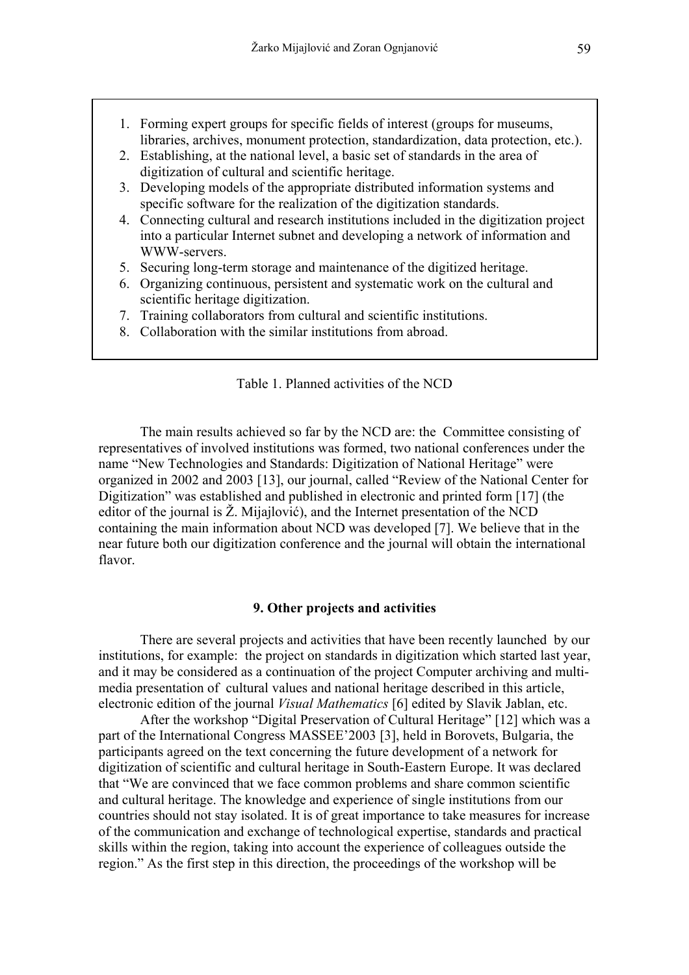- 1. Forming expert groups for specific fields of interest (groups for museums, libraries, archives, monument protection, standardization, data protection, etc.).
- 2. Establishing, at the national level, a basic set of standards in the area of digitization of cultural and scientific heritage.
- 3. Developing models of the appropriate distributed information systems and specific software for the realization of the digitization standards.
- 4. Connecting cultural and research institutions included in the digitization project into a particular Internet subnet and developing a network of information and WWW-servers.
- 5. Securing long-term storage and maintenance of the digitized heritage.
- 6. Organizing continuous, persistent and systematic work on the cultural and scientific heritage digitization.
- 7. Training collaborators from cultural and scientific institutions.
- 8. Collaboration with the similar institutions from abroad.

#### Table 1. Planned activities of the NCD

The main results achieved so far by the NCD are: the Committee consisting of representatives of involved institutions was formed, two national conferences under the name "New Technologies and Standards: Digitization of National Heritage" were organized in 2002 and 2003 [13], our journal, called "Review of the National Center for Digitization" was established and published in electronic and printed form [17] (the editor of the journal is  $\check{Z}$ . Mijajlović), and the Internet presentation of the NCD containing the main information about NCD was developed [7]. We believe that in the near future both our digitization conference and the journal will obtain the international flavor.

#### **9. Other projects and activities**

There are several projects and activities that have been recently launched by our institutions, for example: the project on standards in digitization which started last year, and it may be considered as a continuation of the project Computer archiving and multimedia presentation of cultural values and national heritage described in this article, electronic edition of the journal *Visual Mathematics* [6] edited by Slavik Jablan, etc.

After the workshop "Digital Preservation of Cultural Heritage" [12] which was a part of the International Congress MASSEE'2003 [3], held in Borovets, Bulgaria, the participants agreed on the text concerning the future development of a network for digitization of scientific and cultural heritage in South-Eastern Europe. It was declared that "We are convinced that we face common problems and share common scientific and cultural heritage. The knowledge and experience of single institutions from our countries should not stay isolated. It is of great importance to take measures for increase of the communication and exchange of technological expertise, standards and practical skills within the region, taking into account the experience of colleagues outside the region." As the first step in this direction, the proceedings of the workshop will be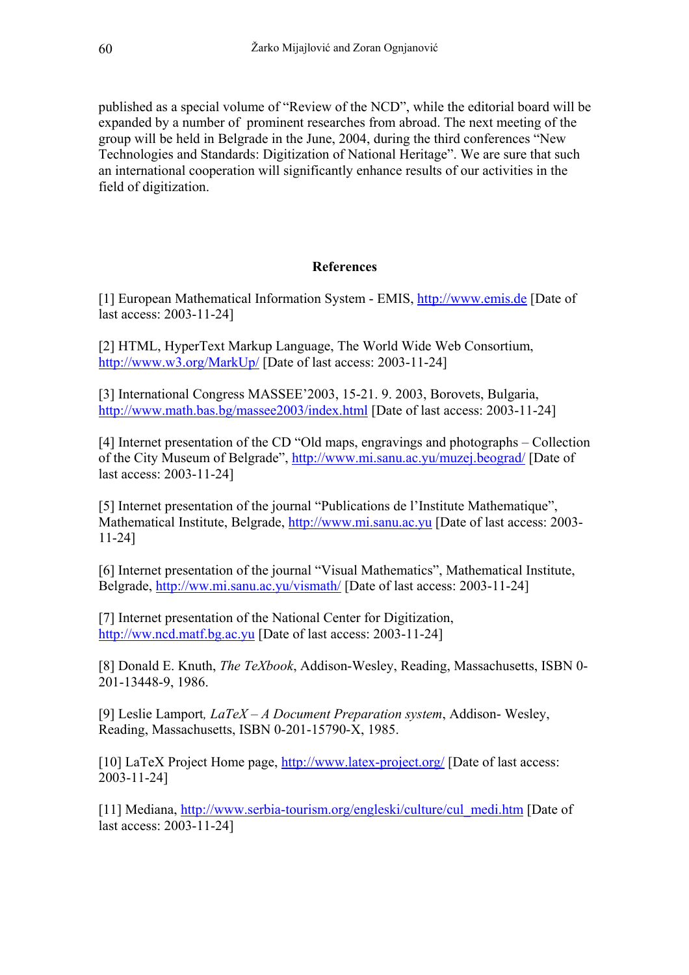published as a special volume of "Review of the NCD", while the editorial board will be expanded by a number of prominent researches from abroad. The next meeting of the group will be held in Belgrade in the June, 2004, during the third conferences "New Technologies and Standards: Digitization of National Heritage". We are sure that such an international cooperation will significantly enhance results of our activities in the field of digitization.

# **References**

[1] European Mathematical Information System - EMIS, [http://www.emis.de](http://www.emis.de/) [Date of last access: 2003-11-24]

[2] HTML, HyperText Markup Language, The World Wide Web Consortium, <http://www.w3.org/MarkUp/>[Date of last access: 2003-11-24]

[3] International Congress MASSEE'2003, 15-21. 9. 2003, Borovets, Bulgaria, <http://www.math.bas.bg/massee2003/index.html>[Date of last access: 2003-11-24]

[4] Internet presentation of the CD "Old maps, engravings and photographs – Collection of the City Museum of Belgrade",<http://www.mi.sanu.ac.yu/muzej.beograd/>[Date of last access: 2003-11-24]

[5] Internet presentation of the journal "Publications de l'Institute Mathematique", Mathematical Institute, Belgrade, [http://www.mi.sanu.ac.yu](http://www.mi.sanu.ac.yu/) [Date of last access: 2003- 11-24]

[6] Internet presentation of the journal "Visual Mathematics", Mathematical Institute, Belgrade,<http://ww.mi.sanu.ac.yu/vismath/>[Date of last access: 2003-11-24]

[7] Internet presentation of the National Center for Digitization, [http://ww.ncd.matf.bg.ac.yu](http://ww.ncd.matf.bg.ac.yu/) [Date of last access: 2003-11-24]

[8] Donald E. Knuth, *The TeXbook*, Addison-Wesley, Reading, Massachusetts, ISBN 0- 201-13448-9, 1986.

[9] Leslie Lamport*, LaTeX – A Document Preparation system*, Addison- Wesley, Reading, Massachusetts, ISBN 0-201-15790-X, 1985.

[10] LaTeX [Project](http://www.latex-project.org/) Home page, <http://www.latex-project.org/>[Date of last access: 2003-11-24]

[11] Mediana, [http://www.serbia-tourism.org/engleski/culture/cul\\_medi.htm](http://www.serbia-tourism.org/engleski/culture/cul_medi.htm) [Date of last access: 2003-11-24]